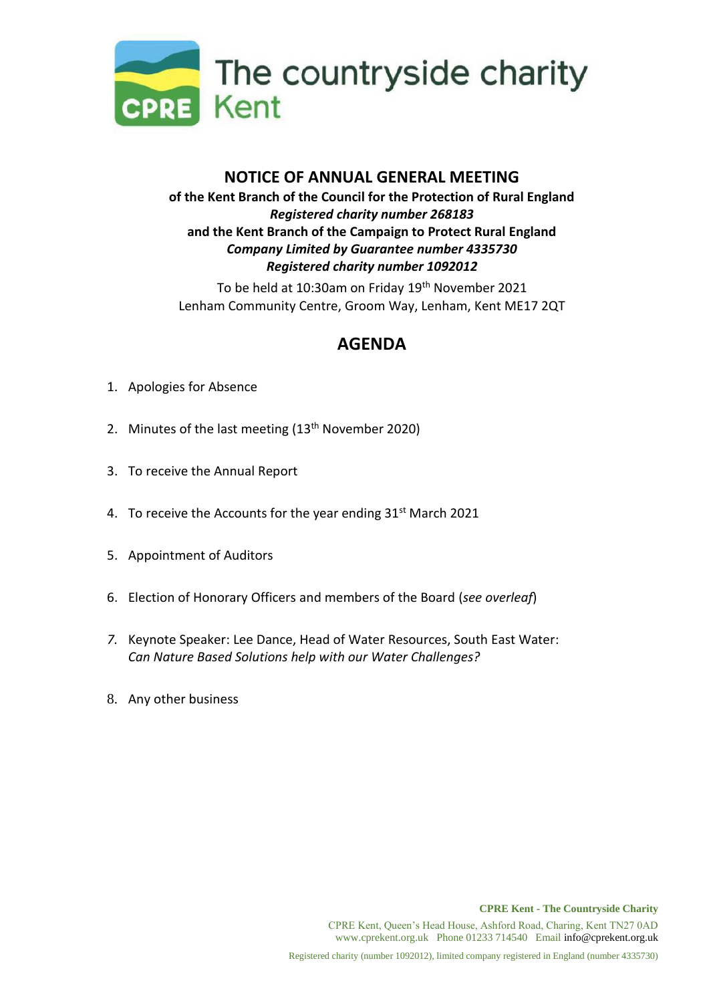

## **NOTICE OF ANNUAL GENERAL MEETING of the Kent Branch of the Council for the Protection of Rural England** *Registered charity number 268183* **and the Kent Branch of the Campaign to Protect Rural England** *Company Limited by Guarantee number 4335730 Registered charity number 1092012*

To be held at 10:30am on Friday 19<sup>th</sup> November 2021 Lenham Community Centre, Groom Way, Lenham, Kent ME17 2QT

## **AGENDA**

- 1. Apologies for Absence
- 2. Minutes of the last meeting (13<sup>th</sup> November 2020)
- 3. To receive the Annual Report
- 4. To receive the Accounts for the year ending 31<sup>st</sup> March 2021
- 5. Appointment of Auditors
- 6. Election of Honorary Officers and members of the Board (*see overleaf*)
- *7.* Keynote Speaker: Lee Dance, Head of Water Resources, South East Water: *Can Nature Based Solutions help with our Water Challenges?*
- 8. Any other business